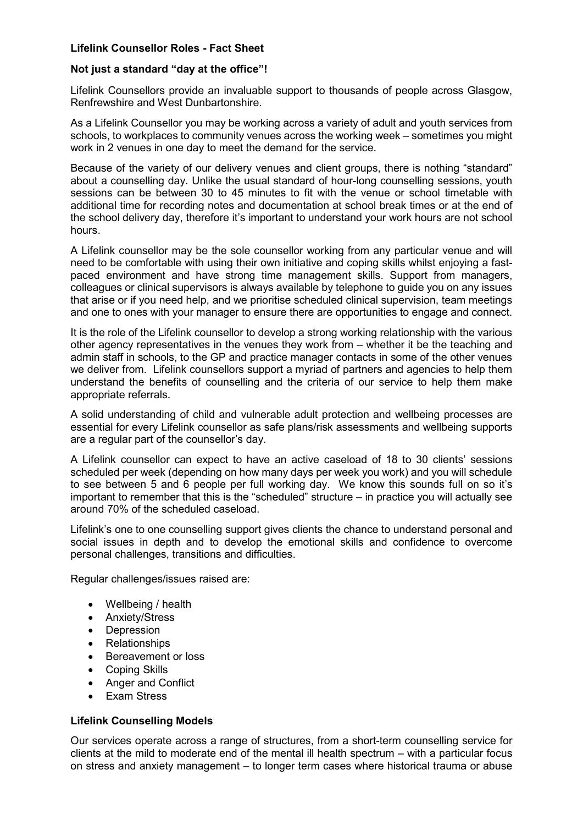# **Lifelink Counsellor Roles - Fact Sheet**

#### **Not just a standard "day at the office"!**

Lifelink Counsellors provide an invaluable support to thousands of people across Glasgow, Renfrewshire and West Dunbartonshire.

As a Lifelink Counsellor you may be working across a variety of adult and youth services from schools, to workplaces to community venues across the working week – sometimes you might work in 2 venues in one day to meet the demand for the service.

Because of the variety of our delivery venues and client groups, there is nothing "standard" about a counselling day. Unlike the usual standard of hour-long counselling sessions, youth sessions can be between 30 to 45 minutes to fit with the venue or school timetable with additional time for recording notes and documentation at school break times or at the end of the school delivery day, therefore it's important to understand your work hours are not school hours.

A Lifelink counsellor may be the sole counsellor working from any particular venue and will need to be comfortable with using their own initiative and coping skills whilst enjoying a fastpaced environment and have strong time management skills. Support from managers, colleagues or clinical supervisors is always available by telephone to guide you on any issues that arise or if you need help, and we prioritise scheduled clinical supervision, team meetings and one to ones with your manager to ensure there are opportunities to engage and connect.

It is the role of the Lifelink counsellor to develop a strong working relationship with the various other agency representatives in the venues they work from – whether it be the teaching and admin staff in schools, to the GP and practice manager contacts in some of the other venues we deliver from. Lifelink counsellors support a myriad of partners and agencies to help them understand the benefits of counselling and the criteria of our service to help them make appropriate referrals.

A solid understanding of child and vulnerable adult protection and wellbeing processes are essential for every Lifelink counsellor as safe plans/risk assessments and wellbeing supports are a regular part of the counsellor's day.

A Lifelink counsellor can expect to have an active caseload of 18 to 30 clients' sessions scheduled per week (depending on how many days per week you work) and you will schedule to see between 5 and 6 people per full working day. We know this sounds full on so it's important to remember that this is the "scheduled" structure – in practice you will actually see around 70% of the scheduled caseload.

Lifelink's one to one counselling support gives clients the chance to understand personal and social issues in depth and to develop the emotional skills and confidence to overcome personal challenges, transitions and difficulties.

Regular challenges/issues raised are:

- Wellbeing / health
- Anxiety/Stress
- Depression
- Relationships
- Bereavement or loss
- Coping Skills
- Anger and Conflict
- Exam Stress

## **Lifelink Counselling Models**

Our services operate across a range of structures, from a short-term counselling service for clients at the mild to moderate end of the mental ill health spectrum – with a particular focus on stress and anxiety management – to longer term cases where historical trauma or abuse